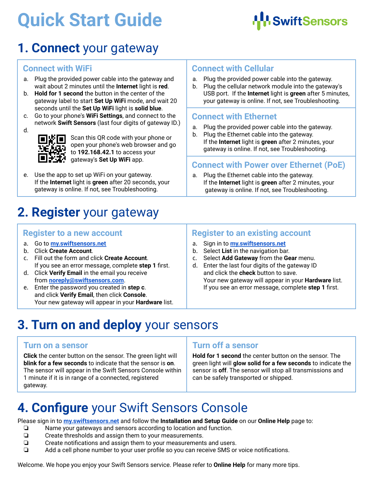# **Quick Start Guide**



## **1. Connect** your gateway

#### **Connect with WiFi**

- a. Plug the provided power cable into the gateway and wait about 2 minutes until the **Internet** light is **red**.
- b. **Hold for 1 second** the button in the center of the gateway label to start **Set Up WiFi** mode, and wait 20 seconds until the **Set Up WiFi** light is **solid blue**.
- c. Go to your phone's **WiFi Settings**, and connect to the network **Swift Sensors** (last four digits of gateway ID.)



Scan this QR code with your phone or open your phone's web browser and go to **192.168.42.1** to access your gateway's **Set Up WiFi** app.

e. Use the app to set up WiFi on your gateway. If the **Internet** light is **green** after 20 seconds, your gateway is online. If not, see Troubleshooting.

### **Connect with Cellular**

- a. Plug the provided power cable into the gateway.
- b. Plug the cellular network module into the gateway's USB port. If the **Internet** light is **green** after 5 minutes, your gateway is online. If not, see Troubleshooting.

### **Connect with Ethernet**

- a. Plug the provided power cable into the gateway.
- b. Plug the Ethernet cable into the gateway. If the **Internet** light is **green** after 2 minutes, your gateway is online. If not, see Troubleshooting.

### **Connect with Power over Ethernet (PoE)**

Plug the Ethernet cable into the gateway. If the **Internet** light is **green** after 2 minutes, your gateway is online. If not, see Troubleshooting.

## **2. Register** your gateway

#### **Register to a new account**

- a. Go to **[my.swiftsensors.net](http://my.swiftsensors.net)**
- b. Click **Create Account**.
- c. Fill out the form and click **Create Account**. If you see an error message, complete **step 1** first.
- d. Click **Verify Email** in the email you receive from **[noreply@swiftsensors.com](mailto:noreply@swiftsensors.com)**.
- e. Enter the password you created in **step c**. and click **Verify Email**, then click **Console**. Your new gateway will appear in your **Hardware** list.

### **Register to an existing account**

- a. Sign in to **[my.swiftsensors.net](http://my.swiftsensors.net)**
- b. Select **List** in the navigation bar.
- c. Select **Add Gateway** from the **Gear** menu.
- d. Enter the last four digits of the gateway ID and click the **check** button to save. Your new gateway will appear in your **Hardware** list. If you see an error message, complete **step 1** first.

## **3. Turn on and deploy** your sensors

#### **Turn on a sensor**

**Click** the center button on the sensor. The green light will **blink for a few seconds** to indicate that the sensor is **on**. The sensor will appear in the Swift Sensors Console within 1 minute if it is in range of a connected, registered gateway.

### **Turn off a sensor**

**Hold for 1 second** the center button on the sensor. The green light will **glow solid for a few seconds** to indicate the sensor is **off**. The sensor will stop all transmissions and can be safely transported or shipped.

## **4. Configure** your Swift Sensors Console

Please sign in to **[my.swiftsensors.net](http://my.swiftsensors.net)** and follow the **Installation and Setup Guide** on our **Online Help** page to:

- ❏ Name your gateways and sensors according to location and function.
- ❏ Create thresholds and assign them to your measurements.
- ❏ Create notifications and assign them to your measurements and users.
- ❏ Add a cell phone number to your user profile so you can receive SMS or voice notifications.

Welcome. We hope you enjoy your Swift Sensors service. Please refer to **Online Help** for many more tips.